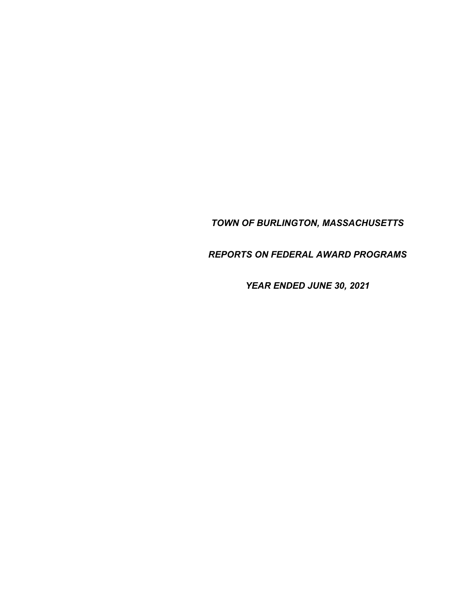*TOWN OF BURLINGTON, MASSACHUSETTS* 

*REPORTS ON FEDERAL AWARD PROGRAMS* 

*YEAR ENDED JUNE 30, 2021*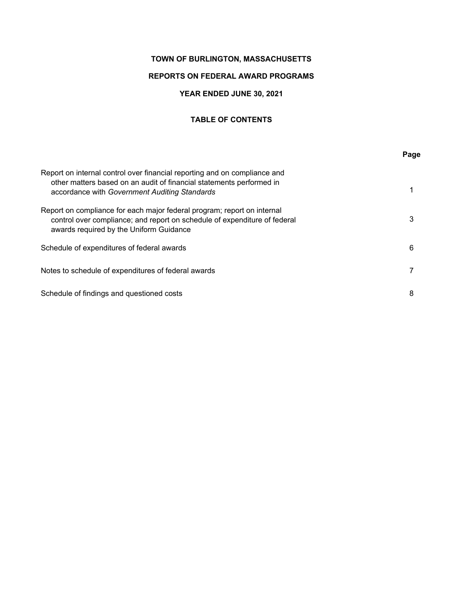# **TOWN OF BURLINGTON, MASSACHUSETTS**

# **REPORTS ON FEDERAL AWARD PROGRAMS**

# **YEAR ENDED JUNE 30, 2021**

# **TABLE OF CONTENTS**

|                                                                                                                                                                                                    | Page |
|----------------------------------------------------------------------------------------------------------------------------------------------------------------------------------------------------|------|
| Report on internal control over financial reporting and on compliance and<br>other matters based on an audit of financial statements performed in<br>accordance with Government Auditing Standards |      |
| Report on compliance for each major federal program; report on internal<br>control over compliance; and report on schedule of expenditure of federal<br>awards required by the Uniform Guidance    | 3    |
| Schedule of expenditures of federal awards                                                                                                                                                         | 6    |
| Notes to schedule of expenditures of federal awards                                                                                                                                                |      |
| Schedule of findings and questioned costs                                                                                                                                                          | 8    |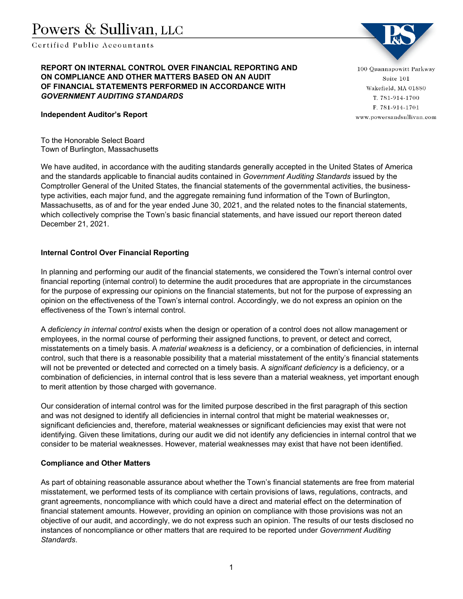Certified Public Accountants

**REPORT ON INTERNAL CONTROL OVER FINANCIAL REPORTING AND ON COMPLIANCE AND OTHER MATTERS BASED ON AN AUDIT OF FINANCIAL STATEMENTS PERFORMED IN ACCORDANCE WITH**  *GOVERNMENT AUDITING STANDARDS* 

**Independent Auditor's Report** 

To the Honorable Select Board Town of Burlington, Massachusetts

We have audited, in accordance with the auditing standards generally accepted in the United States of America and the standards applicable to financial audits contained in *Government Auditing Standards* issued by the Comptroller General of the United States, the financial statements of the governmental activities, the businesstype activities, each major fund, and the aggregate remaining fund information of the Town of Burlington, Massachusetts, as of and for the year ended June 30, 2021, and the related notes to the financial statements, which collectively comprise the Town's basic financial statements, and have issued our report thereon dated December 21, 2021.

# **Internal Control Over Financial Reporting**

In planning and performing our audit of the financial statements, we considered the Town's internal control over financial reporting (internal control) to determine the audit procedures that are appropriate in the circumstances for the purpose of expressing our opinions on the financial statements, but not for the purpose of expressing an opinion on the effectiveness of the Town's internal control. Accordingly, we do not express an opinion on the effectiveness of the Town's internal control.

A *deficiency in internal control* exists when the design or operation of a control does not allow management or employees, in the normal course of performing their assigned functions, to prevent, or detect and correct, misstatements on a timely basis. A *material weakness* is a deficiency, or a combination of deficiencies, in internal control, such that there is a reasonable possibility that a material misstatement of the entity's financial statements will not be prevented or detected and corrected on a timely basis. A *significant deficiency* is a deficiency, or a combination of deficiencies, in internal control that is less severe than a material weakness, yet important enough to merit attention by those charged with governance.

Our consideration of internal control was for the limited purpose described in the first paragraph of this section and was not designed to identify all deficiencies in internal control that might be material weaknesses or, significant deficiencies and, therefore, material weaknesses or significant deficiencies may exist that were not identifying. Given these limitations, during our audit we did not identify any deficiencies in internal control that we consider to be material weaknesses. However, material weaknesses may exist that have not been identified.

# **Compliance and Other Matters**

As part of obtaining reasonable assurance about whether the Town's financial statements are free from material misstatement, we performed tests of its compliance with certain provisions of laws, regulations, contracts, and grant agreements, noncompliance with which could have a direct and material effect on the determination of financial statement amounts. However, providing an opinion on compliance with those provisions was not an objective of our audit, and accordingly, we do not express such an opinion. The results of our tests disclosed no instances of noncompliance or other matters that are required to be reported under *Government Auditing Standards*.

100 Quannapowitt Parkway Suite 101 Wakefield, MA 01880 T. 781-914-1700 F. 781-914-1701 www.powersandsullivan.com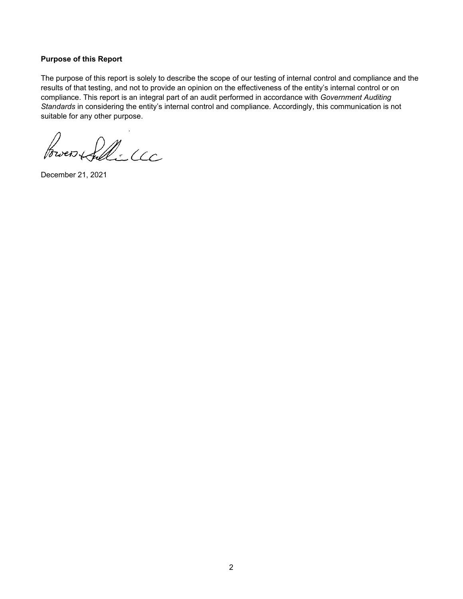### **Purpose of this Report**

The purpose of this report is solely to describe the scope of our testing of internal control and compliance and the results of that testing, and not to provide an opinion on the effectiveness of the entity's internal control or on compliance. This report is an integral part of an audit performed in accordance with *Government Auditing Standards* in considering the entity's internal control and compliance. Accordingly, this communication is not suitable for any other purpose.

Power Sille CC

December 21, 2021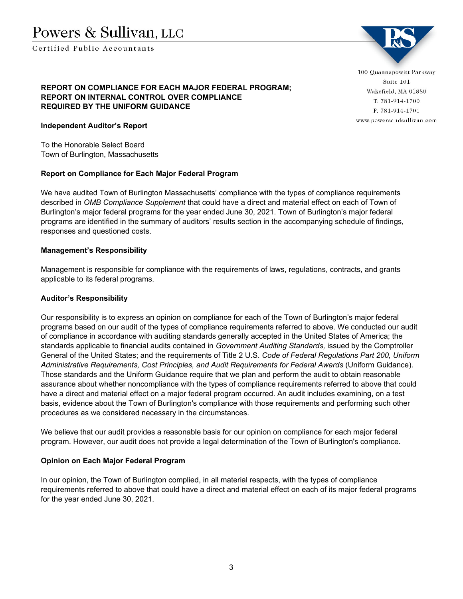Certified Publie Accountants



# **REPORT ON COMPLIANCE FOR EACH MAJOR FEDERAL PROGRAM; REPORT ON INTERNAL CONTROL OVER COMPLIANCE REQUIRED BY THE UNIFORM GUIDANCE**

## **Independent Auditor's Report**

To the Honorable Select Board Town of Burlington, Massachusetts

#### **Report on Compliance for Each Major Federal Program**

We have audited Town of Burlington Massachusetts' compliance with the types of compliance requirements described in *OMB Compliance Supplement* that could have a direct and material effect on each of Town of Burlington's major federal programs for the year ended June 30, 2021. Town of Burlington's major federal programs are identified in the summary of auditors' results section in the accompanying schedule of findings, responses and questioned costs.

### **Management's Responsibility**

Management is responsible for compliance with the requirements of laws, regulations, contracts, and grants applicable to its federal programs.

#### **Auditor's Responsibility**

Our responsibility is to express an opinion on compliance for each of the Town of Burlington's major federal programs based on our audit of the types of compliance requirements referred to above. We conducted our audit of compliance in accordance with auditing standards generally accepted in the United States of America; the standards applicable to financial audits contained in *Government Auditing Standards,* issued by the Comptroller General of the United States; and the requirements of Title 2 U.S. *Code of Federal Regulations Part 200, Uniform Administrative Requirements, Cost Principles, and Audit Requirements for Federal Awards* (Uniform Guidance). Those standards and the Uniform Guidance require that we plan and perform the audit to obtain reasonable assurance about whether noncompliance with the types of compliance requirements referred to above that could have a direct and material effect on a major federal program occurred. An audit includes examining, on a test basis, evidence about the Town of Burlington's compliance with those requirements and performing such other procedures as we considered necessary in the circumstances.

We believe that our audit provides a reasonable basis for our opinion on compliance for each major federal program. However, our audit does not provide a legal determination of the Town of Burlington's compliance.

#### **Opinion on Each Major Federal Program**

In our opinion, the Town of Burlington complied, in all material respects, with the types of compliance requirements referred to above that could have a direct and material effect on each of its major federal programs for the year ended June 30, 2021.

100 Quannapowitt Parkway Suite 101 Wakefield, MA 01880 T. 781-914-1700 F. 781-914-1701 www.powersandsullivan.com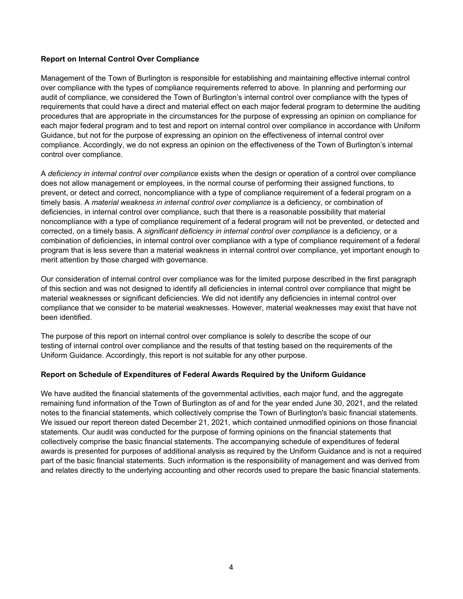# **Report on Internal Control Over Compliance**

Management of the Town of Burlington is responsible for establishing and maintaining effective internal control over compliance with the types of compliance requirements referred to above. In planning and performing our audit of compliance, we considered the Town of Burlington's internal control over compliance with the types of requirements that could have a direct and material effect on each major federal program to determine the auditing procedures that are appropriate in the circumstances for the purpose of expressing an opinion on compliance for each major federal program and to test and report on internal control over compliance in accordance with Uniform Guidance, but not for the purpose of expressing an opinion on the effectiveness of internal control over compliance. Accordingly, we do not express an opinion on the effectiveness of the Town of Burlington's internal control over compliance.

A *deficiency in internal control over compliance* exists when the design or operation of a control over compliance does not allow management or employees, in the normal course of performing their assigned functions, to prevent, or detect and correct, noncompliance with a type of compliance requirement of a federal program on a timely basis. A *material weakness in internal control over compliance* is a deficiency, or combination of deficiencies, in internal control over compliance, such that there is a reasonable possibility that material noncompliance with a type of compliance requirement of a federal program will not be prevented, or detected and corrected, on a timely basis. A *significant deficiency in internal control over compliance* is a deficiency, or a combination of deficiencies, in internal control over compliance with a type of compliance requirement of a federal program that is less severe than a material weakness in internal control over compliance, yet important enough to merit attention by those charged with governance.

Our consideration of internal control over compliance was for the limited purpose described in the first paragraph of this section and was not designed to identify all deficiencies in internal control over compliance that might be material weaknesses or significant deficiencies. We did not identify any deficiencies in internal control over compliance that we consider to be material weaknesses. However, material weaknesses may exist that have not been identified.

The purpose of this report on internal control over compliance is solely to describe the scope of our testing of internal control over compliance and the results of that testing based on the requirements of the Uniform Guidance. Accordingly, this report is not suitable for any other purpose.

# **Report on Schedule of Expenditures of Federal Awards Required by the Uniform Guidance**

We have audited the financial statements of the governmental activities, each major fund, and the aggregate remaining fund information of the Town of Burlington as of and for the year ended June 30, 2021, and the related notes to the financial statements, which collectively comprise the Town of Burlington's basic financial statements. We issued our report thereon dated December 21, 2021, which contained unmodified opinions on those financial statements. Our audit was conducted for the purpose of forming opinions on the financial statements that collectively comprise the basic financial statements. The accompanying schedule of expenditures of federal awards is presented for purposes of additional analysis as required by the Uniform Guidance and is not a required part of the basic financial statements. Such information is the responsibility of management and was derived from and relates directly to the underlying accounting and other records used to prepare the basic financial statements.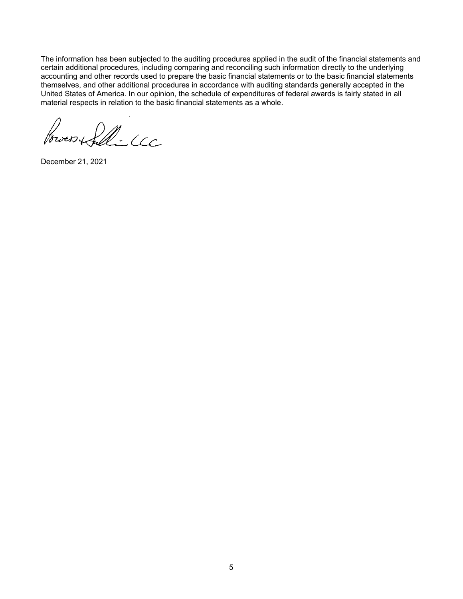The information has been subjected to the auditing procedures applied in the audit of the financial statements and certain additional procedures, including comparing and reconciling such information directly to the underlying accounting and other records used to prepare the basic financial statements or to the basic financial statements themselves, and other additional procedures in accordance with auditing standards generally accepted in the United States of America. In our opinion, the schedule of expenditures of federal awards is fairly stated in all material respects in relation to the basic financial statements as a whole.

)<br>wer (fillé CCC

December 21, 2021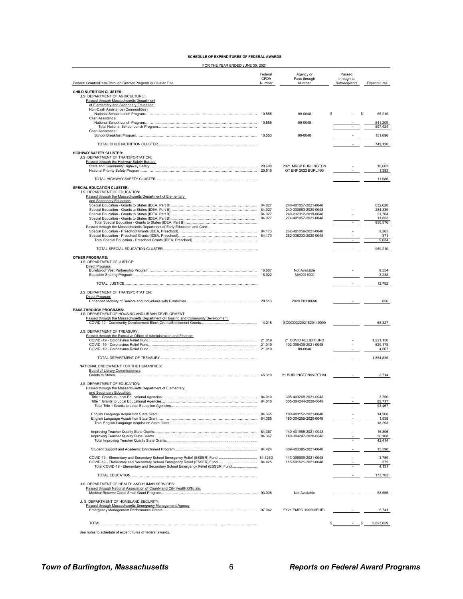|  | <b>SCHEDULE OF EXPENDITURES OF FEDERAL AWARDS</b> |  |  |
|--|---------------------------------------------------|--|--|
|  |                                                   |  |  |

FOR THE YEAR ENDED JUNE 30, 2021

| Federal Grantor/Pass-Through Grantor/Program or Cluster Title                                                                                        | Federal<br>CFDA<br>Number | Agency or<br>Pass-through<br>Number          | Passed<br>through to<br>Subrecipients | Expenditures       |
|------------------------------------------------------------------------------------------------------------------------------------------------------|---------------------------|----------------------------------------------|---------------------------------------|--------------------|
| <b>CHILD NUTRITION CLUSTER:</b>                                                                                                                      |                           |                                              |                                       |                    |
| U.S. DEPARTMENT OF AGRICULTURE:<br>Passed through Massachusetts Department                                                                           |                           |                                              |                                       |                    |
| of Elementary and Secondary Education:<br>Non-Cash Assistance (Commodities):                                                                         |                           |                                              |                                       |                    |
| Cash Assistance:                                                                                                                                     |                           | 09-0048                                      | \$.<br>S                              | 56,215             |
|                                                                                                                                                      |                           | 09-0048                                      | $\sim$                                | 541,209<br>597,424 |
| Cash Assistance:                                                                                                                                     |                           |                                              |                                       |                    |
|                                                                                                                                                      |                           | 09-0048                                      |                                       | 151,696            |
|                                                                                                                                                      |                           |                                              |                                       | 749,120            |
| <b>HIGHWAY SAFETY CLUSTER:</b><br>U.S. DEPARTMENT OF TRANSPORTATION:<br>Passed through the Highway Safety Bureau:                                    |                           |                                              |                                       |                    |
|                                                                                                                                                      |                           | 2021 MRSP BURLINGTON<br>OT ENF 2022 BURLING  |                                       | 10,603<br>1,383    |
|                                                                                                                                                      |                           |                                              |                                       | 11,986             |
|                                                                                                                                                      |                           |                                              |                                       |                    |
| SPECIAL EDUCATION CLUSTER:<br>U.S. DEPARTMENT OF EDUCATION:<br>Passed through the Massachusetts Department of Elementary<br>and Secondary Education: |                           |                                              |                                       |                    |
|                                                                                                                                                      |                           | 240-401057-2021-0048                         |                                       | 632,620            |
|                                                                                                                                                      |                           | 240-330683-2020-0048<br>240-232312-2019-0048 |                                       | 284,339<br>21,764  |
|                                                                                                                                                      |                           | 274-401057-2021-0048                         |                                       | 11,853<br>950,576  |
| Passed through the Massachusetts Department of Early Education and Care:                                                                             |                           | 262-401059-2021-0048                         |                                       | 9,263              |
|                                                                                                                                                      |                           | 262-338233-2020-0048                         |                                       | 371                |
|                                                                                                                                                      |                           |                                              |                                       | 9,634              |
|                                                                                                                                                      |                           |                                              |                                       | 960,210            |
| <b>OTHER PROGRAMS:</b><br>U.S. DEPARTMENT OF JUSTICE:<br>Direct Program:                                                                             |                           |                                              |                                       |                    |
|                                                                                                                                                      | 16.607                    | Not Available<br>MA0091000                   |                                       | 9,554<br>3,238     |
|                                                                                                                                                      |                           |                                              |                                       | 12,792             |
| U.S. DEPARTMENT OF TRANSPORTATION:                                                                                                                   |                           |                                              |                                       |                    |
| Direct Program:                                                                                                                                      |                           | 2020 P0110698                                |                                       |                    |
|                                                                                                                                                      |                           |                                              |                                       | 856                |
| PASS-THROUGH PROGRAMS:<br>U.S. DEPARTMENT OF HOUSING AND URBAN DEVELOPMENT:                                                                          |                           |                                              |                                       |                    |
| Passed through the Massachusetts Department of Housing and Community Development:                                                                    |                           | SCOCD322021820140000                         |                                       | 68,327             |
| U.S. DEPARTMENT OF TREASURY:                                                                                                                         |                           |                                              |                                       |                    |
| Passed through the Executive Office of Administration and Finance:                                                                                   |                           | 21 COVID RELIEFFUND                          |                                       | 1,221,150          |
|                                                                                                                                                      |                           | 102-396439-2021-0048                         |                                       | 629,178            |
|                                                                                                                                                      |                           | 09-0048                                      | ÷,                                    | 4,507              |
|                                                                                                                                                      |                           |                                              |                                       | 1,854,835          |
| NATIONAL ENDOWMENT FOR THE HUMANITIES:<br><b>Board of Library Commissioners:</b>                                                                     |                           |                                              |                                       |                    |
| Grants to States                                                                                                                                     |                           | 21 BURLINGTON0VIRTUAL                        |                                       | 2,714              |
| U.S. DEPARTMENT OF EDUCATION:                                                                                                                        |                           |                                              |                                       |                    |
| Passed through the Massachusetts Department of Elementary<br>and Secondary Education:                                                                |                           |                                              |                                       |                    |
|                                                                                                                                                      |                           | 305-403268-2021-0048<br>305-304244-2020-0048 |                                       | 3,750<br>89,717    |
|                                                                                                                                                      |                           |                                              |                                       | 93,467             |
|                                                                                                                                                      |                           | 180-403152-2021-0048                         |                                       | 14,268             |
|                                                                                                                                                      |                           | 180-304259-2020-0048                         |                                       | 1,538<br>18,293    |
|                                                                                                                                                      |                           | 140-401985-2021-0048                         |                                       | 16,306             |
|                                                                                                                                                      |                           | 140-304247-2020-0048                         |                                       | 26,108<br>42,414   |
|                                                                                                                                                      |                           | 309-403385-2021-0048                         |                                       | 15,398             |
|                                                                                                                                                      |                           |                                              |                                       |                    |
|                                                                                                                                                      |                           | 113-395999-2021-0048<br>115-501521-2021-0048 |                                       | 3,759<br>372       |
| Total COVID-19 - Elementary and Secondary School Emergency Relief (ESSER) Fund                                                                       |                           |                                              |                                       | 4,131              |
|                                                                                                                                                      |                           |                                              |                                       | 173,703            |
| U.S. DEPARTMENT OF HEALTH AND HUMAN SERVICES:                                                                                                        |                           |                                              |                                       |                    |
| Passed through National Association of County and City Health Officials:                                                                             |                           | Not Available                                |                                       | 53,555             |
| U. S. DEPARTMENT OF HOMELAND SECURITY:                                                                                                               |                           |                                              |                                       |                    |
| Passed through Massachusetts Emergency Management Agency                                                                                             |                           | FY21 EMPG 190000BURL                         |                                       | 5,741              |
|                                                                                                                                                      |                           |                                              |                                       |                    |
|                                                                                                                                                      |                           |                                              | s                                     | 3,893,839          |

See notes to schedule of expenditures of federal awards.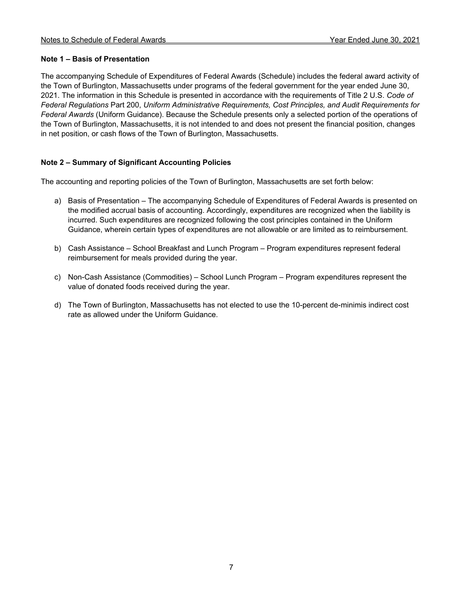# **Note 1 – Basis of Presentation**

The accompanying Schedule of Expenditures of Federal Awards (Schedule) includes the federal award activity of the Town of Burlington, Massachusetts under programs of the federal government for the year ended June 30, 2021. The information in this Schedule is presented in accordance with the requirements of Title 2 U.S. *Code of Federal Regulations* Part 200, *Uniform Administrative Requirements, Cost Principles, and Audit Requirements for Federal Awards* (Uniform Guidance). Because the Schedule presents only a selected portion of the operations of the Town of Burlington, Massachusetts, it is not intended to and does not present the financial position, changes in net position, or cash flows of the Town of Burlington, Massachusetts.

# **Note 2 – Summary of Significant Accounting Policies**

The accounting and reporting policies of the Town of Burlington, Massachusetts are set forth below:

- a) Basis of Presentation The accompanying Schedule of Expenditures of Federal Awards is presented on the modified accrual basis of accounting. Accordingly, expenditures are recognized when the liability is incurred. Such expenditures are recognized following the cost principles contained in the Uniform Guidance, wherein certain types of expenditures are not allowable or are limited as to reimbursement.
- b) Cash Assistance School Breakfast and Lunch Program Program expenditures represent federal reimbursement for meals provided during the year.
- c) Non-Cash Assistance (Commodities) School Lunch Program Program expenditures represent the value of donated foods received during the year.
- d) The Town of Burlington, Massachusetts has not elected to use the 10-percent de-minimis indirect cost rate as allowed under the Uniform Guidance.